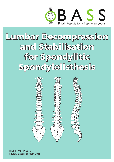

# Lumbar Decompression and Stabilisation for Spondylitic Spondylolisthesis



Issue 6: March 2016 Review date: February 2019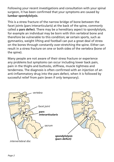Following your recent investigations and consultation with your spinal surgeon, it has been confirmed that your symptoms are caused by **lumbar spondylolysis**.

This is a stress fracture of the narrow bridge of bone between the facet joints (pars interarticularis) at the back of the spine, commonly called a **pars defect**. There may be a hereditary aspect to spondylolysis, for example an individual may be born with thin vertebral bone and therefore be vulnerable to this condition; **or** certain sports, such as gymnastics, weight lifting and football can put a great deal of stress on the bones through constantly over-stretching the spine. Either can result in a stress fracture on one or both sides of the vertebra (bone of the spine).

Many people are not aware of their stress fracture or experience any problems but symptoms can occur including lower back pain, pain in the thighs and buttocks, stiffness, muscle tightness and tenderness. The diagnosis is often confirmed with an injection of an anti-inflammatory drug into the pars defect, when it is followed by successful relief from pain (even if only temporary).

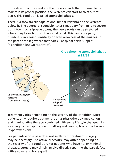If the stress fracture weakens the bone so much that it is unable to maintain its proper position, the vertebra can start to shift out of place. This condition is called **spondylolisthesis**.

There is a forward slippage of one lumbar vertebra on the vertebra below it. The degree of spondylolisthesis may vary from mild to severe but if too much slippage occurs, the nerve roots can be stretched where they branch out of the spinal canal. This can cause pain, numbness, increased sensitivity or even weakness of the muscles, in the part of the leg where that particular spinal nerve supplies (a condition known as sciatica).



Treatment varies depending on the severity of the condition. Most patients only require treatment such as physiotherapy, medication and manipulative therapy, combined with some lifestyle changes, like avoiding contact sports, weight lifting and leaning too far backwards (hyperextension).

For patients whose pain does not settle with treatment, surgery may be necessary. The actual procedure may differ depending on the severity of the condition. For patients who have no, or minimal slippage, surgery may simply involve directly repairing the pars defect with a screw and bone graft.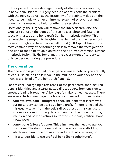But for patients where slippage (spondylolisthesis) occurs resulting in nerve pain (sciatica), surgery needs to address both the problem with the nerves, as well as the instability of the spine. A decision then needs to be made whether an internal system of screws, rods and bone graft is needed to hold together the vertebra.

Occasionally, the surgeon will remove the intervertebral disc, the structure between the bones of the spine (vertebra) and fuse that space with a cage and bone graft (lumbar interbody fusion). This can enable the surgeon to heighten the channel that the nerve root travels through and to achieve an all round (360°) spinal fusion. The most common way of performing this is to remove the facet joint on one side of the spine to gain access to the disc (transforaminal lumbar interbody fusion [TLIF]). Sometimes, the exact extent of surgery can only be decided during the procedure.

## The operation

The operation is performed under general anaesthetic so you are fully asleep. First, an incision is made in the midline of your back and the muscles are lifted off the bony arch (lamina).

For patients undergoing direct repair of the pars defect, the fractured bone is identified and a screw passed directly across from one side to another, joining it together. A bone graft is also sometimes used. There are several techniques to get the bone graft needed for spinal fusion:

- **• patient's own bone (autograft bone).** The bone that is removed during surgery can be used as a bone graft. If more is needed then it is usually taken from the pelvis (iliac crest) but this can result in complications including chronic pain from the bone graft site, infection and pelvic fractures so, for the most part, artificial bone is now used;
- **• donor bone (allograft bone).** This eliminates the need to use your own bone. The donor bone graft acts as a calcium scaffolding which your own bone grows into and eventually replaces; or
- **it is also possible to use artificial bone (bone substitutes).**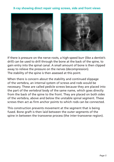#### **X-ray showing direct repair using screws, side and front views**





If there is pressure on the nerve roots, a high-speed burr (like a dentist's drill) can be used to drill through the bone at the back of the spine, to gain entry into the spinal canal. A small amount of bone is then clipped away to relieve the pressure on the nerves (decompression). The stability of the spine is then assessed at this point.

When there is concern about the stability and continued slippage of the vertebra, an internal system of screws and rods would be necessary. These are called pedicle screws because they are placed into the part of the vertebral body of the same name, which goes directly from the back of the spine to the front. They are placed on both sides of the vertebra, above and below the unstable spinal segment. These screws then act as firm anchor points to which rods can be connected.

This construction prevents movement at the segment that is being fused. Bone graft is then laid between the outer segments of the spine in between the transverse process (the inter-transverse region).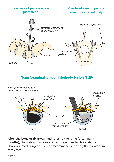

#### **Overhead view of pedicle screw in vertebral body**



#### Transforaminal lumbar interbody fusion (TLIF)



After the bone graft grows and fuses to the spine (after many months), the rods and screws are no longer needed for stability. However, most surgeons do not recommend removing them except in rare cases.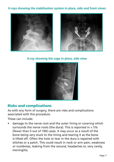#### **X-rays showing the stabilisation system in place, side and front views**





#### **X-ray showing the cage in place, side view**



## Risks and complications

As with any form of surgery, there are risks and complications associated with this procedure.

These can include:

damage to the nerve root and the outer lining or covering which surrounds the nerve roots (the dura). This is reported in  $< 5\%$ (fewer than 5 out of 100) cases. It may occur as a result of the bone being very stuck to the lining and tearing it as the bone is lifted off. Often the hole or tear in the dura is repaired with stitches or a patch. This could result in neck or arm pain, weakness or numbness, leaking from the wound, headaches or, very rarely, meningitis;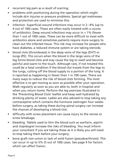- recurrent leg pain as a result of scarring;
- problems with positioning during the operation which might include skin injuries or pressure problems. Special gel mattresses and protection are used to minimise this;
- infection. Superficial wound infections may occur in 2–4% (up to 4 out of 100) cases. These are often easily treated with a course of antibiotics. Deep wound infections may occur in < 1% (fewer than 1 out of 100) cases. These can be more difficult to treat with antibiotics alone and sometimes patients require more surgery to clean out the infected tissue. This risk may increase for people who have diabetes, a reduced immune system or are taking steroids;
- blood clots (thromboses) in the deep veins of the legs (DVT) or lungs (PE). This occurs when the blood in the large veins of the leg forms blood clots and may cause the leg to swell and become painful and warm to the touch. Although rare, if not treated this could be a fatal condition if the blood clot travels from the legs to the lungs, cutting off the blood supply to a portion of the lung. It is reported as happening in fewer than 1 in 700 cases. There are many ways to reduce the risk of blood clots forming. The most effective is to get moving as soon as possible after your operation. Walk regularly as soon as you are able to, both in hospital and when you return home. Perform the leg exercises illustrated in the 'Preventing Blood Clots' leaflet and keep well hydrated by drinking plenty of water. Ladies are also advised to stop taking any contraceptive which contains the hormone oestrogen four weeks before surgery, as taking these during spinal surgery can increase the chances of developing a blood clot;
- difficulty with screw placement can cause injury to the nerves or screw breakage;
- bleeding. Tablets used to thin the blood such as warfarin, aspirin and clopidogrel increase the risks of bleeding. You must inform your consultant if you are taking these as it is likely you will need to stop taking them before your surgery;
- bone graft non-union or lack of solid fusion (pseudoarthrosis). This can occur in up to 5% (5 out of 100) cases. See page 9 for factors which can affect fusion;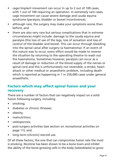- cage/implant movement can occur in up to 2 out of 100 cases, with 1 out of 100 requiring an operation. In extremely rare cases, cage movement can cause severe damage and cauda equina syndrome (paralysis, bladder or bowel incontinence);
- although rare, the surgery may make your symptoms worse than before; and
- there are also very rare but serious complications that in extreme circumstances might include: damage to the cauda equina and paralysis (the loss of use of the legs, loss of sensation and loss of control of the bladder and bowel. This can occur through bleeding into the spinal canal after surgery (a haematoma). If an event of this nature was to occur, every effort would be made to reverse the situation by returning to the operating theatre to wash out the haematoma. Sometimes however, paralysis can occur as a result of damage or reduction of the blood supply of the nerves or spinal cord and this is unfortunately not reversible; a stroke, heart attack or other medical or anaesthetic problem, including death which is reported as happening in 1 in 250,000 cases under general anaesthetic.

## Factors which may affect spinal fusion and your recovery

There are a number of factors that can negatively impact on a solid fusion following surgery, including:

- smoking;
- diabetes or chronic illnesses:
- obesity;
- malnutrition:
- • osteoporosis;
- post-surgery activities (see section on recreational activities on page 11); and
- long-term (chronic) steroid use.

Of all these factors, the one that can compromise fusion rate the most is smoking. Nicotine has been shown to be a bone toxin and inhibit the ability of the bone-growing cells in the body (osteoblasts) to grow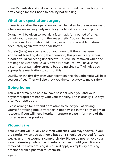bone. Patients should make a concerted effort to allow their body the best change for their bone to heal by not smoking.

## What to expect after surgery

Immediately after the operation you will be taken to the recovery ward where nurses will regularly monitor your blood pressure and pulse.

Oxygen will be given to you via a face mask for a period of time, to help you to recover from the anaesthetic. You will have an intravenous drip for about 24 hours, or until you are able to drink adequately again after the anaesthetic.

A drain (tube) may come out of your wound if there has been significant bleeding during the operation; this prevents any excess blood or fluid collecting underneath. This will be removed when the drainage has stopped, usually after 24 hours. You will have some discomfort or pain after surgery but the nursing staff will give you appropriate medication to control this.

Usually, on the first day after your operation, the physiotherapist will help you out of bed. They will also show you the correct way to move safely.

# Going home

You will normally be able to leave hospital when you and your physiotherapist are happy with your mobility. This is usually 1–2 days after your operation.

Please arrange for a friend or relative to collect you, as driving yourself or taking public transport is not advised in the early stages of recovery. If you will need hospital transport please inform one of the nurses as soon as possible.

## Wound care

Your wound will usually be closed with clips. You may shower, if you are careful, when you get home but baths should be avoided for two weeks, until the wound is completely dry. Please do not remove your wound dressing, unless it accidentally gets wet, until your clips are removed. If a new dressing is required apply a simple dry dressing obtained from a pharmacist (chemist).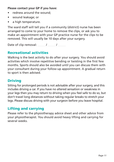#### **Please contact your GP if you have:**

- redness around the wound:
- • wound leakage; or
- a high temperature.

The ward staff will tell you if a community (district) nurse has been arranged to come to your home to remove the clips, or ask you to make an appointment with your GP practice nurse for the clips to be removed. This will usually be 10 days after your surgery.

Date of clip removal: / / / /

## Recreational activities

Walking is the best activity to do after your surgery. You should avoid activities which involve repetitive bending or twisting in the first few months. Sports should also be avoided until you can discuss them with your consultant during your follow-up appointment. A gradual return to sport is then advised.

## **Driving**

Sitting for prolonged periods is not advisable after your surgery, and this includes driving a car. If you have no altered sensation or weakness in your legs then you may return to driving when you feel safe to do so, but don't travel long distances without taking regular breaks to stretch your legs. Please discuss driving with your surgeon before you leave hospital.

# Lifting and carrying

Please refer to the physiotherapy advice sheet and other advice from your physiotherapist. You should avoid heavy lifting and carrying for several weeks.